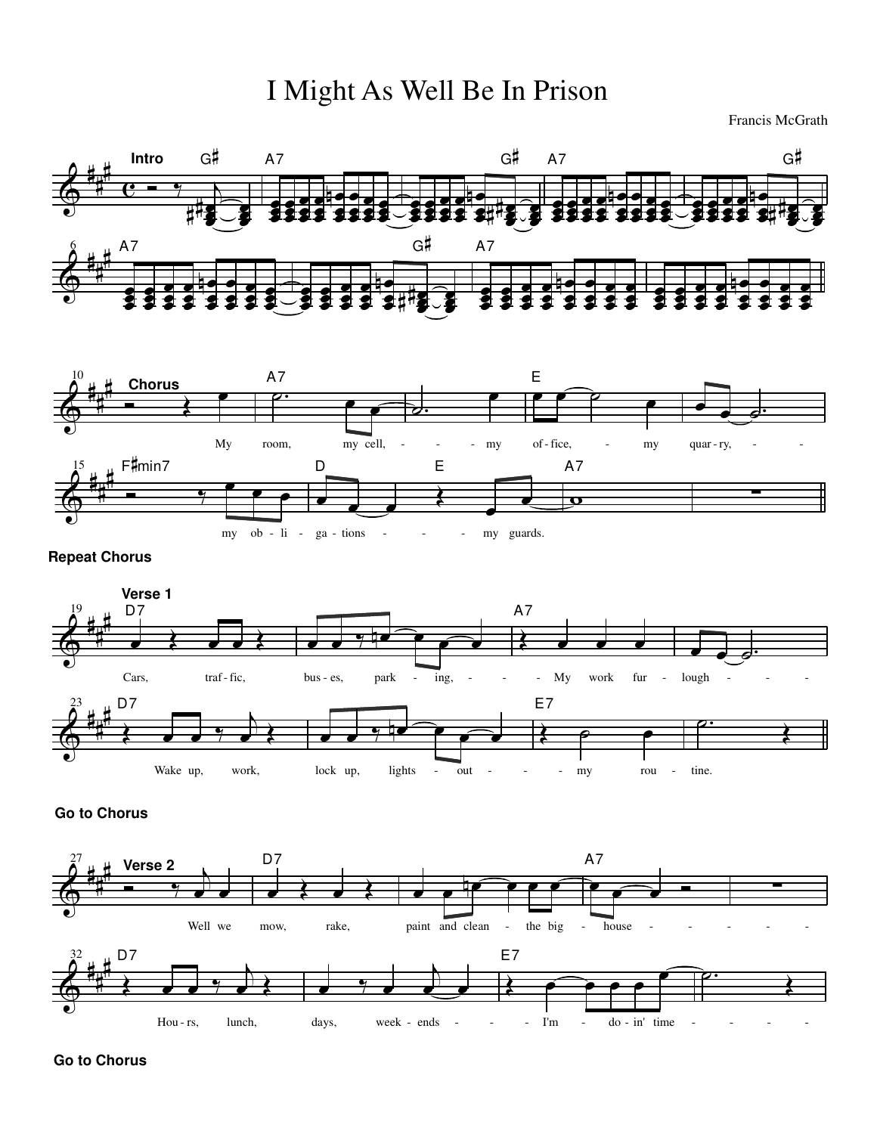## I Might As Well Be In Prison

Francis McGrath





**Go to Chorus**